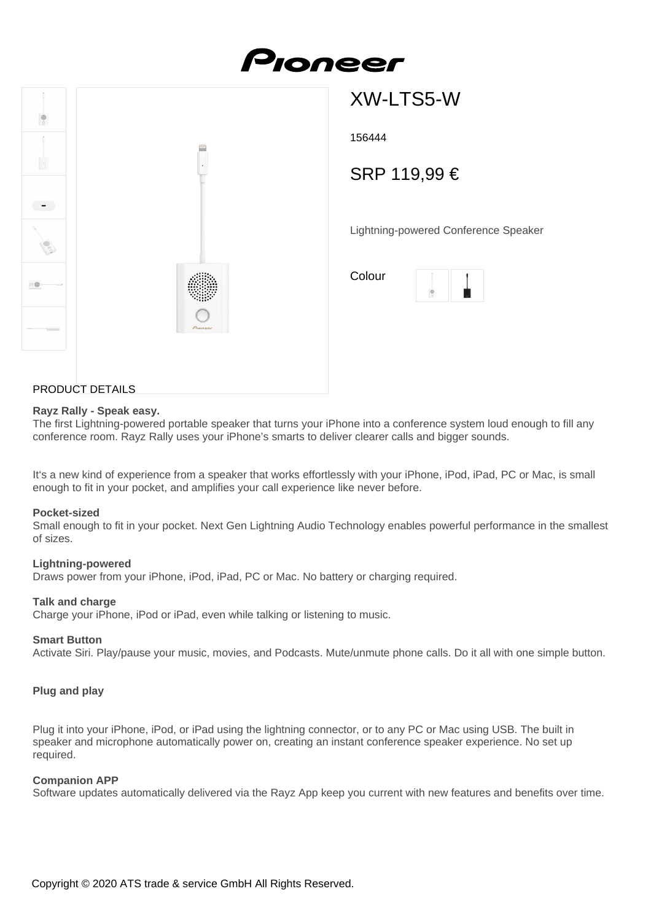



# XW-LTS5-W

156444

## SRP 119,99 €

Lightning-powered Conference Speaker

| Colour |  |
|--------|--|
|        |  |

#### PRODUCT DETAILS

#### **Rayz Rally - Speak easy.**

The first Lightning-powered portable speaker that turns your iPhone into a conference system loud enough to fill any conference room. Rayz Rally uses your iPhone's smarts to deliver clearer calls and bigger sounds.

It's a new kind of experience from a speaker that works effortlessly with your iPhone, iPod, iPad, PC or Mac, is small enough to fit in your pocket, and amplifies your call experience like never before.

#### **Pocket-sized**

Small enough to fit in your pocket. Next Gen Lightning Audio Technology enables powerful performance in the smallest of sizes.

#### **Lightning-powered**

Draws power from your iPhone, iPod, iPad, PC or Mac. No battery or charging required.

#### **Talk and charge**

Charge your iPhone, iPod or iPad, even while talking or listening to music.

#### **Smart Button**

Activate Siri. Play/pause your music, movies, and Podcasts. Mute/unmute phone calls. Do it all with one simple button.

#### **Plug and play**

Plug it into your iPhone, iPod, or iPad using the lightning connector, or to any PC or Mac using USB. The built in speaker and microphone automatically power on, creating an instant conference speaker experience. No set up required.

#### **Companion APP**

Software updates automatically delivered via the Rayz App keep you current with new features and benefits over time.